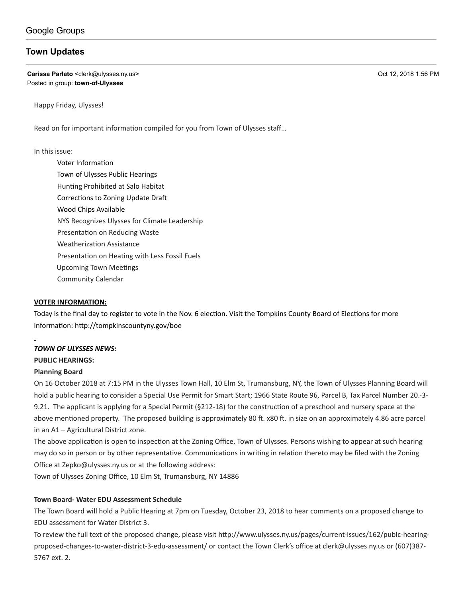# **[Town Updates](https://groups.google.com/d/topic/town-of-ulysses/g1mtMDns1b4)**

**Carissa Parlato** <clerk@ulysses.ny.us> Oct 12, 2018 1:56 PM Posted in group: **[town-of-Ulysses](https://groups.google.com/d/forum/town-of-ulysses)**

Happy Friday, Ulysses!

Read on for important information compiled for you from Town of Ulysses staff...

#### In this issue:

Voter Information Town of Ulysses Public Hearings Hunting Prohibited at Salo Habitat Corrections to Zoning Update Draft Wood Chips Available NYS Recognizes Ulysses for Climate Leadership Presentation on Reducing Waste Weatherization Assistance Presentation on Heating with Less Fossil Fuels Upcoming Town Meetings Community Calendar

#### **VOTER INFORMATION:**

Today is the final day to register to vote in the Nov. 6 election. Visit the Tompkins County Board of Elections for more information: http://tompkinscountyny.gov/boe

#### *TOWN OF ULYSSES NEWS:*

#### **PUBLIC HEARINGS:**

#### **Planning Board**

On 16 October 2018 at 7:15 PM in the Ulysses Town Hall, 10 Elm St, Trumansburg, NY, the Town of Ulysses Planning Board will hold a public hearing to consider a Special Use Permit for Smart Start; 1966 State Route 96, Parcel B, Tax Parcel Number 20.-3- 9.21. The applicant is applying for a Special Permit (§212-18) for the construction of a preschool and nursery space at the above mentioned property. The proposed building is approximately 80 ft. x80 ft. in size on an approximately 4.86 acre parcel in an A1 – Agricultural District zone.

The above application is open to inspection at the Zoning Office, Town of Ulysses. Persons wishing to appear at such hearing may do so in person or by other representative. Communications in writing in relation thereto may be filed with the Zoning Office at [Zepko@ulysses.ny.us](mailto:Zepko@ulysses.ny.us) or at the following address: Town of Ulysses Zoning Office, 10 Elm St, Trumansburg, NY 14886

#### **Town Board- Water EDU Assessment Schedule**

The Town Board will hold a Public Hearing at 7pm on Tuesday, October 23, 2018 to hear comments on a proposed change to EDU assessment for Water District 3.

To review the full text of the proposed change, please visit http://www.ulysses.ny.us/pages/current-issues/162/publc-hearingproposed-changes-to-water-district-3-edu-assessment/ or contact the Town Clerk's office at [clerk@ulysses.ny.us](mailto:clerk@ulysses.ny.us) or (607)387- 5767 ext. 2.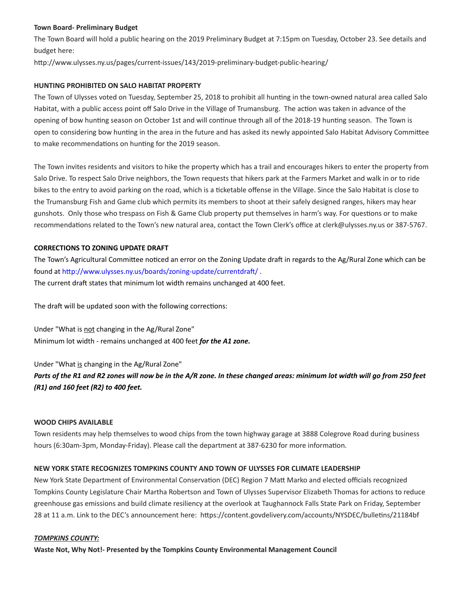#### **Town Board- Preliminary Budget**

The Town Board will hold a public hearing on the 2019 Preliminary Budget at 7:15pm on Tuesday, October 23. See details and budget here:

http://www.ulysses.ny.us/pages/current-issues/143/2019-preliminary-budget-public-hearing/

#### **HUNTING PROHIBITED ON SALO HABITAT PROPERTY**

The Town of Ulysses voted on Tuesday, September 25, 2018 to prohibit all hunting in the town-owned natural area called Salo Habitat, with a public access point off Salo Drive in the Village of Trumansburg. The action was taken in advance of the opening of bow hunting season on October 1st and will continue through all of the 2018-19 hunting season. The Town is open to considering bow hunting in the area in the future and has asked its newly appointed Salo Habitat Advisory Committee to make recommendations on hunting for the 2019 season.

The Town invites residents and visitors to hike the property which has a trail and encourages hikers to enter the property from Salo Drive. To respect Salo Drive neighbors, the Town requests that hikers park at the Farmers Market and walk in or to ride bikes to the entry to avoid parking on the road, which is a ticketable offense in the Village. Since the Salo Habitat is close to the Trumansburg Fish and Game club which permits its members to shoot at their safely designed ranges, hikers may hear gunshots. Only those who trespass on Fish & Game Club property put themselves in harm's way. For questions or to make recommendations related to the Town's new natural area, contact the Town Clerk's office at [clerk@ulysses.ny.us](mailto:clerk@ulysses.ny.us) or 387-5767.

#### **CORRECTIONS TO ZONING UPDATE DRAFT**

The Town's Agricultural Committee noticed an error on the Zoning Update draft in regards to the Ag/Rural Zone which can be found at http://www.ulysses.ny.us/boards/zoning-update/currentdraft/. The current draft states that minimum lot width remains unchanged at 400 feet.

The draft will be updated soon with the following corrections:

Under "What is not changing in the Ag/Rural Zone" Minimum lot width - remains unchanged at 400 feet *for the A1 zone.*

Under "What is changing in the Ag/Rural Zone"

*Parts of the R1 and R2 zones will now be in the A/R zone. In these changed areas: minimum lot width will go from 250 feet (R1) and 160 feet (R2) to 400 feet.*

## **WOOD CHIPS AVAILABLE**

Town residents may help themselves to wood chips from the town highway garage at 3888 Colegrove Road during business hours (6:30am-3pm, Monday-Friday). Please call the department at 387-6230 for more information.

#### **NEW YORK STATE RECOGNIZES TOMPKINS COUNTY AND TOWN OF ULYSSES FOR CLIMATE LEADERSHIP**

New York State Department of Environmental Conservation (DEC) Region 7 Matt Marko and elected officials recognized Tompkins County Legislature Chair Martha Robertson and Town of Ulysses Supervisor Elizabeth Thomas for actions to reduce greenhouse gas emissions and build climate resiliency at the overlook at Taughannock Falls State Park on Friday, September 28 at 11 a.m. Link to the DEC's announcement here: https://content.govdelivery.com/accounts/NYSDEC/bulletins/21184bf

#### *TOMPKINS COUNTY:*

**Waste Not, Why Not!- Presented by the Tompkins County Environmental Management Council**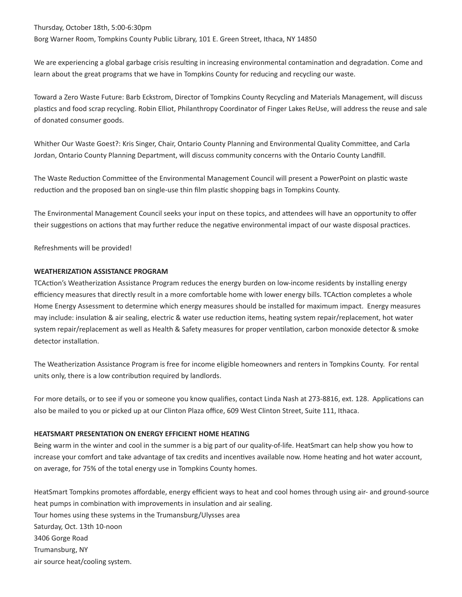Thursday, October 18th, 5:00-6:30pm Borg Warner Room, Tompkins County Public Library, 101 E. Green Street, Ithaca, NY 14850

We are experiencing a global garbage crisis resulting in increasing environmental contamination and degradation. Come and learn about the great programs that we have in Tompkins County for reducing and recycling our waste.

Toward a Zero Waste Future: Barb Eckstrom, Director of Tompkins County Recycling and Materials Management, will discuss plastics and food scrap recycling. Robin Elliot, Philanthropy Coordinator of Finger Lakes ReUse, will address the reuse and sale of donated consumer goods.

Whither Our Waste Goest?: Kris Singer, Chair, Ontario County Planning and Environmental Quality Committee, and Carla Jordan, Ontario County Planning Department, will discuss community concerns with the Ontario County Landfill.

The Waste Reduction Committee of the Environmental Management Council will present a PowerPoint on plastic waste reduction and the proposed ban on single-use thin film plastic shopping bags in Tompkins County.

The Environmental Management Council seeks your input on these topics, and attendees will have an opportunity to offer their suggestions on actions that may further reduce the negative environmental impact of our waste disposal practices.

Refreshments will be provided!

## **WEATHERIZATION ASSISTANCE PROGRAM**

TCAction's Weatherization Assistance Program reduces the energy burden on low-income residents by installing energy efficiency measures that directly result in a more comfortable home with lower energy bills. TCAction completes a whole Home Energy Assessment to determine which energy measures should be installed for maximum impact. Energy measures may include: insulation & air sealing, electric & water use reduction items, heating system repair/replacement, hot water system repair/replacement as well as Health & Safety measures for proper ventilation, carbon monoxide detector & smoke detector installation.

The Weatherization Assistance Program is free for income eligible homeowners and renters in Tompkins County. For rental units only, there is a low contribution required by landlords.

For more details, or to see if you or someone you know qualifies, contact Linda Nash at 273-8816, ext. 128. Applications can also be mailed to you or picked up at our Clinton Plaza office, 609 West Clinton Street, Suite 111, Ithaca.

#### **HEATSMART PRESENTATION ON ENERGY EFFICIENT HOME HEATING**

Being warm in the winter and cool in the summer is a big part of our quality-of-life. HeatSmart can help show you how to increase your comfort and take advantage of tax credits and incentives available now. Home heating and hot water account, on average, for 75% of the total energy use in Tompkins County homes.

HeatSmart Tompkins promotes affordable, energy efficient ways to heat and cool homes through using air- and ground-source heat pumps in combination with improvements in insulation and air sealing. Tour homes using these systems in the Trumansburg/Ulysses area Saturday, Oct. 13th 10-noon 3406 Gorge Road Trumansburg, NY air source heat/cooling system.